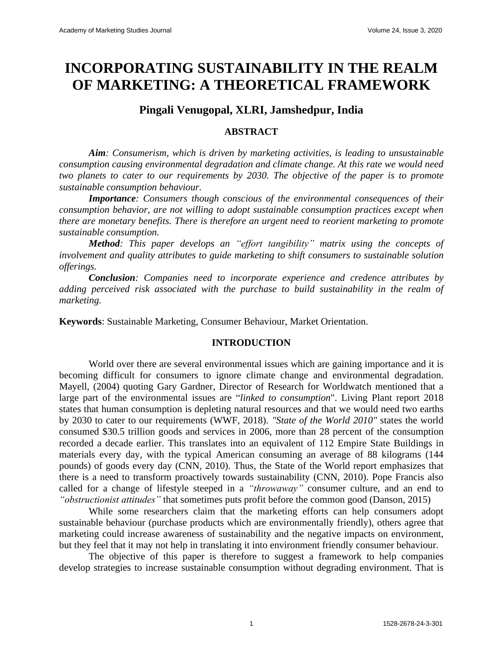# **INCORPORATING SUSTAINABILITY IN THE REALM OF MARKETING: A THEORETICAL FRAMEWORK**

## **Pingali Venugopal, XLRI, Jamshedpur, India**

## **ABSTRACT**

*Aim: Consumerism, which is driven by marketing activities, is leading to unsustainable consumption causing environmental degradation and climate change. At this rate we would need two planets to cater to our requirements by 2030. The objective of the paper is to promote sustainable consumption behaviour.*

*Importance: Consumers though conscious of the environmental consequences of their consumption behavior, are not willing to adopt sustainable consumption practices except when there are monetary benefits. There is therefore an urgent need to reorient marketing to promote sustainable consumption.*

*Method: This paper develops an "effort tangibility" matrix using the concepts of involvement and quality attributes to guide marketing to shift consumers to sustainable solution offerings.*

*Conclusion: Companies need to incorporate experience and credence attributes by adding perceived risk associated with the purchase to build sustainability in the realm of marketing.*

**Keywords**: Sustainable Marketing, Consumer Behaviour, Market Orientation.

## **INTRODUCTION**

World over there are several environmental issues which are gaining importance and it is becoming difficult for consumers to ignore climate change and environmental degradation. Mayell, (2004) quoting Gary Gardner, Director of Research for Worldwatch mentioned that a large part of the environmental issues are "*linked to consumption*". Living Plant report 2018 states that human consumption is depleting natural resources and that we would need two earths by 2030 to cater to our requirements (WWF, 2018). *"State of the World 2010"* states the world consumed \$30.5 trillion goods and services in 2006, more than 28 percent of the consumption recorded a decade earlier. This translates into an equivalent of 112 Empire State Buildings in materials every day, with the typical American consuming an average of 88 kilograms (144 pounds) of goods every day (CNN, 2010). Thus, the State of the World report emphasizes that there is a need to transform proactively towards sustainability (CNN, 2010). Pope Francis also called for a change of lifestyle steeped in a *"throwaway"* consumer culture, and an end to *"obstructionist attitudes"* that sometimes puts profit before the common good (Danson, 2015)

While some researchers claim that the marketing efforts can help consumers adopt sustainable behaviour (purchase products which are environmentally friendly), others agree that marketing could increase awareness of sustainability and the negative impacts on environment, but they feel that it may not help in translating it into environment friendly consumer behaviour.

The objective of this paper is therefore to suggest a framework to help companies develop strategies to increase sustainable consumption without degrading environment. That is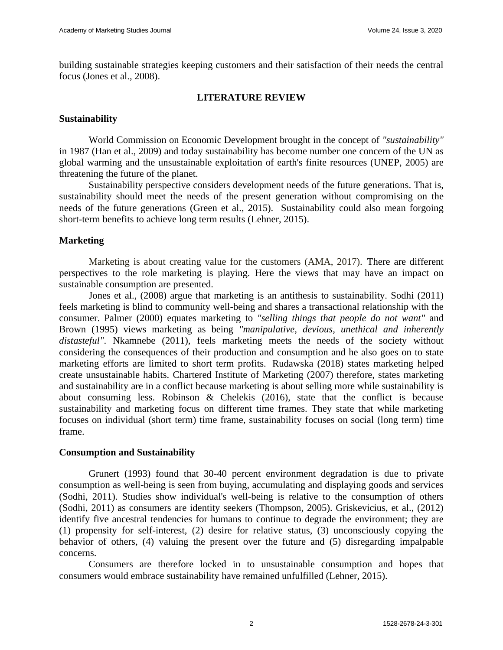building sustainable strategies keeping customers and their satisfaction of their needs the central focus (Jones et al., 2008).

## **LITERATURE REVIEW**

## **Sustainability**

World Commission on Economic Development brought in the concept of *"sustainability"* in 1987 (Han et al., 2009) and today sustainability has become number one concern of the UN as global warming and the unsustainable exploitation of earth's finite resources (UNEP, 2005) are threatening the future of the planet.

Sustainability perspective considers development needs of the future generations. That is, sustainability should meet the needs of the present generation without compromising on the needs of the future generations (Green et al., 2015). Sustainability could also mean forgoing short-term benefits to achieve long term results (Lehner, 2015).

## **Marketing**

Marketing is about creating value for the customers (AMA, 2017). There are different perspectives to the role marketing is playing. Here the views that may have an impact on sustainable consumption are presented.

Jones et al., (2008) argue that marketing is an antithesis to sustainability. Sodhi (2011) feels marketing is blind to community well-being and shares a transactional relationship with the consumer. Palmer (2000) equates marketing to *"selling things that people do not want"* and Brown (1995) views marketing as being *"manipulative, devious, unethical and inherently distasteful"*. Nkamnebe (2011), feels marketing meets the needs of the society without considering the consequences of their production and consumption and he also goes on to state marketing efforts are limited to short term profits. Rudawska (2018) states marketing helped create unsustainable habits. Chartered Institute of Marketing (2007) therefore, states marketing and sustainability are in a conflict because marketing is about selling more while sustainability is about consuming less. Robinson & Chelekis (2016), state that the conflict is because sustainability and marketing focus on different time frames. They state that while marketing focuses on individual (short term) time frame, sustainability focuses on social (long term) time frame.

## **Consumption and Sustainability**

Grunert (1993) found that 30-40 percent environment degradation is due to private consumption as well-being is seen from buying, accumulating and displaying goods and services (Sodhi, 2011). Studies show individual's well-being is relative to the consumption of others (Sodhi, 2011) as consumers are identity seekers (Thompson, 2005). Griskevicius, et al., (2012) identify five ancestral tendencies for humans to continue to degrade the environment; they are (1) propensity for self-interest, (2) desire for relative status, (3) unconsciously copying the behavior of others, (4) valuing the present over the future and (5) disregarding impalpable concerns.

Consumers are therefore locked in to unsustainable consumption and hopes that consumers would embrace sustainability have remained unfulfilled (Lehner, 2015).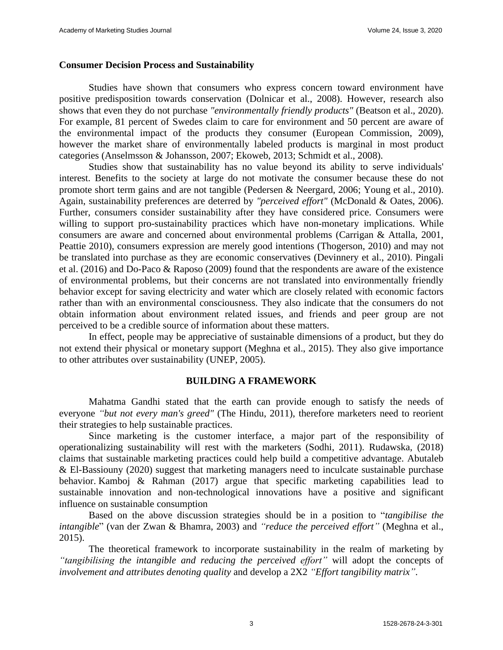#### **Consumer Decision Process and Sustainability**

Studies have shown that consumers who express concern toward environment have positive predisposition towards conservation (Dolnicar et al., 2008). However, research also shows that even they do not purchase *"environmentally friendly products"* (Beatson et al., 2020). For example, 81 percent of Swedes claim to care for environment and 50 percent are aware of the environmental impact of the products they consumer (European Commission, 2009), however the market share of environmentally labeled products is marginal in most product categories (Anselmsson & Johansson, 2007; Ekoweb, 2013; Schmidt et al., 2008).

Studies show that sustainability has no value beyond its ability to serve individuals' interest. Benefits to the society at large do not motivate the consumer because these do not promote short term gains and are not tangible (Pedersen & Neergard, 2006; Young et al., 2010). Again, sustainability preferences are deterred by *"perceived effort"* (McDonald & Oates, 2006). Further, consumers consider sustainability after they have considered price. Consumers were willing to support pro-sustainability practices which have non-monetary implications. While consumers are aware and concerned about environmental problems (Carrigan & Attalla, 2001, Peattie 2010), consumers expression are merely good intentions (Thogerson, 2010) and may not be translated into purchase as they are economic conservatives (Devinnery et al., 2010). Pingali et al. (2016) and Do-Paco & Raposo (2009) found that the respondents are aware of the existence of environmental problems, but their concerns are not translated into environmentally friendly behavior except for saving electricity and water which are closely related with economic factors rather than with an environmental consciousness. They also indicate that the consumers do not obtain information about environment related issues, and friends and peer group are not perceived to be a credible source of information about these matters.

In effect, people may be appreciative of sustainable dimensions of a product, but they do not extend their physical or monetary support (Meghna et al., 2015). They also give importance to other attributes over sustainability (UNEP, 2005).

#### **BUILDING A FRAMEWORK**

Mahatma Gandhi stated that the earth can provide enough to satisfy the needs of everyone *"but not every man's greed"* (The Hindu, 2011), therefore marketers need to reorient their strategies to help sustainable practices.

Since marketing is the customer interface, a major part of the responsibility of operationalizing sustainability will rest with the marketers (Sodhi, 2011). Rudawska, (2018) claims that sustainable marketing practices could help build a competitive advantage. Abutaleb & El-Bassiouny (2020) suggest that marketing managers need to inculcate sustainable purchase behavior. Kamboj & Rahman (2017) argue that specific marketing capabilities lead to sustainable innovation and non-technological innovations have a positive and significant influence on sustainable consumption

Based on the above discussion strategies should be in a position to "*tangibilise the intangible*" (van der Zwan & Bhamra, 2003) and *"reduce the perceived effort"* (Meghna et al., 2015).

The theoretical framework to incorporate sustainability in the realm of marketing by *"tangibilising the intangible and reducing the perceived effort"* will adopt the concepts of *involvement and attributes denoting quality* and develop a 2X2 *"Effort tangibility matrix"*.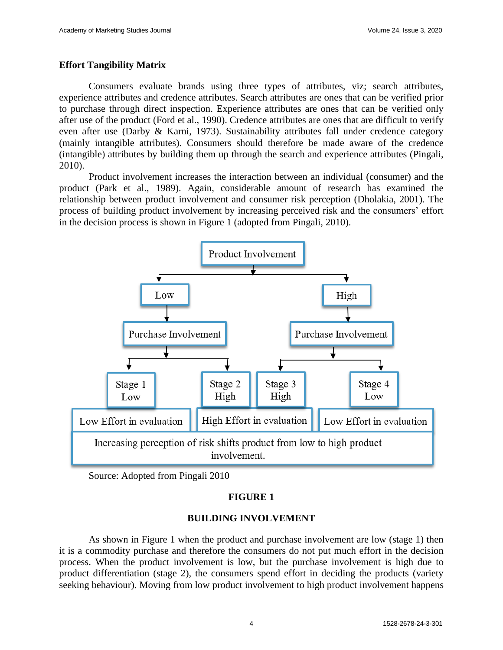## **Effort Tangibility Matrix**

Consumers evaluate brands using three types of attributes, viz; search attributes, experience attributes and credence attributes. Search attributes are ones that can be verified prior to purchase through direct inspection. Experience attributes are ones that can be verified only after use of the product (Ford et al., 1990). Credence attributes are ones that are difficult to verify even after use (Darby & Karni, 1973). Sustainability attributes fall under credence category (mainly intangible attributes). Consumers should therefore be made aware of the credence (intangible) attributes by building them up through the search and experience attributes (Pingali, 2010).

Product involvement increases the interaction between an individual (consumer) and the product (Park et al., 1989). Again, considerable amount of research has examined the relationship between product involvement and consumer risk perception (Dholakia, 2001). The process of building product involvement by increasing perceived risk and the consumers' effort in the decision process is shown in Figure 1 (adopted from Pingali, 2010).



Source: Adopted from Pingali 2010

## **FIGURE 1**

## **BUILDING INVOLVEMENT**

As shown in Figure 1 when the product and purchase involvement are low (stage 1) then it is a commodity purchase and therefore the consumers do not put much effort in the decision process. When the product involvement is low, but the purchase involvement is high due to product differentiation (stage 2), the consumers spend effort in deciding the products (variety seeking behaviour). Moving from low product involvement to high product involvement happens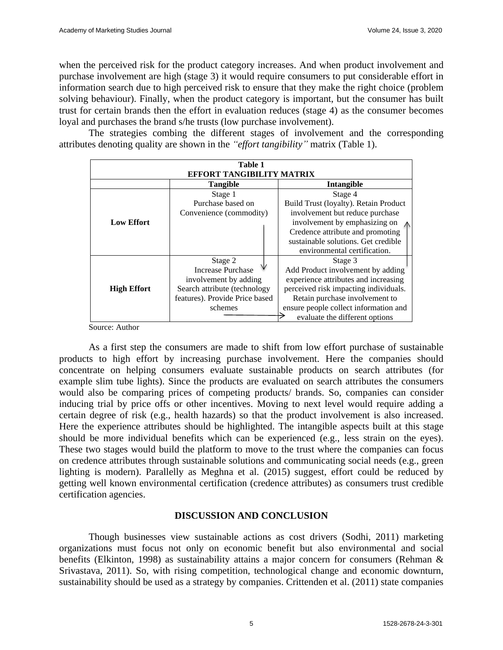when the perceived risk for the product category increases. And when product involvement and purchase involvement are high (stage 3) it would require consumers to put considerable effort in information search due to high perceived risk to ensure that they make the right choice (problem solving behaviour). Finally, when the product category is important, but the consumer has built trust for certain brands then the effort in evaluation reduces (stage 4) as the consumer becomes loyal and purchases the brand s/he trusts (low purchase involvement).

The strategies combing the different stages of involvement and the corresponding attributes denoting quality are shown in the *"effort tangibility"* matrix (Table 1).

| Table 1<br>EFFORT TANGIBILITY MATRIX |                                |                                       |
|--------------------------------------|--------------------------------|---------------------------------------|
|                                      | Tangible                       | <b>Intangible</b>                     |
|                                      | Stage 1                        | Stage 4                               |
|                                      | Purchase based on              | Build Trust (loyalty). Retain Product |
|                                      | Convenience (commodity)        | involvement but reduce purchase       |
| <b>Low Effort</b>                    |                                | involvement by emphasizing on         |
|                                      |                                | Credence attribute and promoting      |
|                                      |                                | sustainable solutions. Get credible   |
|                                      |                                | environmental certification.          |
|                                      | Stage 2                        | Stage 3                               |
|                                      | <b>Increase Purchase</b>       | Add Product involvement by adding     |
|                                      | involvement by adding          | experience attributes and increasing  |
| <b>High Effort</b>                   | Search attribute (technology   | perceived risk impacting individuals. |
|                                      | features). Provide Price based | Retain purchase involvement to        |
|                                      | schemes                        | ensure people collect information and |
|                                      |                                | evaluate the different options        |

Source: Author

As a first step the consumers are made to shift from low effort purchase of sustainable products to high effort by increasing purchase involvement. Here the companies should concentrate on helping consumers evaluate sustainable products on search attributes (for example slim tube lights). Since the products are evaluated on search attributes the consumers would also be comparing prices of competing products/ brands. So, companies can consider inducing trial by price offs or other incentives. Moving to next level would require adding a certain degree of risk (e.g., health hazards) so that the product involvement is also increased. Here the experience attributes should be highlighted. The intangible aspects built at this stage should be more individual benefits which can be experienced (e.g., less strain on the eyes). These two stages would build the platform to move to the trust where the companies can focus on credence attributes through sustainable solutions and communicating social needs (e.g., green lighting is modern). Parallelly as Meghna et al. (2015) suggest, effort could be reduced by getting well known environmental certification (credence attributes) as consumers trust credible certification agencies.

## **DISCUSSION AND CONCLUSION**

Though businesses view sustainable actions as cost drivers (Sodhi, 2011) marketing organizations must focus not only on economic benefit but also environmental and social benefits (Elkinton, 1998) as sustainability attains a major concern for consumers (Rehman & Srivastava, 2011). So, with rising competition, technological change and economic downturn, sustainability should be used as a strategy by companies. Crittenden et al. (2011) state companies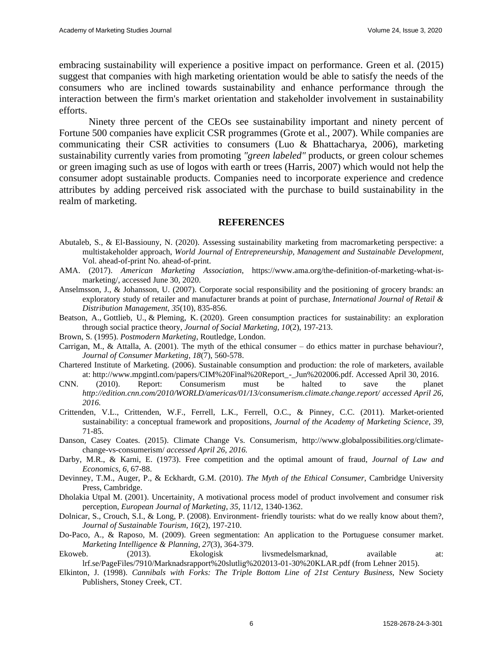embracing sustainability will experience a positive impact on performance. Green et al. (2015) suggest that companies with high marketing orientation would be able to satisfy the needs of the consumers who are inclined towards sustainability and enhance performance through the interaction between the firm's market orientation and stakeholder involvement in sustainability efforts.

Ninety three percent of the CEOs see sustainability important and ninety percent of Fortune 500 companies have explicit CSR programmes (Grote et al., 2007). While companies are communicating their CSR activities to consumers (Luo & Bhattacharya, 2006), marketing sustainability currently varies from promoting *"green labeled"* products, or green colour schemes or green imaging such as use of logos with earth or trees (Harris, 2007) which would not help the consumer adopt sustainable products. Companies need to incorporate experience and credence attributes by adding perceived risk associated with the purchase to build sustainability in the realm of marketing.

#### **REFERENCES**

- Abutaleb, S., & El-Bassiouny, N. (2020). Assessing sustainability marketing from macromarketing perspective: a multistakeholder approach, *World Journal of Entrepreneurship, Management and Sustainable Development*, Vol. ahead-of-print No. ahead-of-print.
- AMA. (2017). *American Marketing Association*, https://www.ama.org/the-definition-of-marketing-what-ismarketing/, accessed June 30, 2020.
- Anselmsson, J., & Johansson, U. (2007). Corporate social responsibility and the positioning of grocery brands: an exploratory study of retailer and manufacturer brands at point of purchase, *International Journal of Retail & Distribution Management*, *35*(10), 835-856.
- Beatson, A., Gottlieb, U., & Pleming, K. (2020). Green consumption practices for sustainability: an exploration through social practice theory, *Journal of Social Marketing*, *10*(2), 197-213.
- Brown, S. (1995). *Postmodern Marketing*, Routledge, London.
- Carrigan, M., & Attalla, A. (2001). The myth of the ethical consumer do ethics matter in purchase behaviour?, *Journal of Consumer Marketing*, *18*(7), 560-578.
- Chartered Institute of Marketing. (2006). Sustainable consumption and production: the role of marketers, available at: http://www.mpgintl.com/papers/CIM%20Final%20Report\_-\_Jun%202006.pdf. Accessed April 30, 2016.
- CNN. (2010). Report: Consumerism must be halted to save the planet *http://edition.cnn.com/2010/WORLD/americas/01/13/consumerism.climate.change.report/ accessed April 26, 2016.*
- Crittenden, V.L., Crittenden, W.F., Ferrell, L.K., Ferrell, O.C., & Pinney, C.C. (2011). Market-oriented sustainability: a conceptual framework and propositions, *Journal of the Academy of Marketing Science*, *39*, 71-85.
- Danson, Casey Coates. (2015). Climate Change Vs. Consumerism, http://www.globalpossibilities.org/climatechange-vs-consumerism/ *accessed April 26, 2016.*
- Darby, M.R., & Karni, E. (1973). Free competition and the optimal amount of fraud, *Journal of Law and Economics*, *6*, 67-88.
- Devinney, T.M., Auger, P., & Eckhardt, G.M. (2010). *The Myth of the Ethical Consumer*, Cambridge University Press, Cambridge.
- Dholakia Utpal M. (2001). Uncertainity, A motivational process model of product involvement and consumer risk perception, *European Journal of Marketing*, *35*, 11/12, 1340-1362.
- Dolnicar, S., Crouch, S.I., & Long, P. (2008). Environment- friendly tourists: what do we really know about them?, *Journal of Sustainable Tourism*, *16*(2), 197-210.
- Do-Paco, A., & Raposo, M. (2009). Green segmentation: An application to the Portuguese consumer market. *Marketing Intelligence & Planning*, *27*(3), 364-379.
- Ekoweb. (2013). Ekologisk livsmedelsmarknad, available at: lrf.se/PageFiles/7910/Marknadsrapport%20slutlig%202013-01-30%20KLAR.pdf (from Lehner 2015).
- Elkinton, J. (1998). *Cannibals with Forks: The Triple Bottom Line of 21st Century Business*, New Society Publishers, Stoney Creek, CT.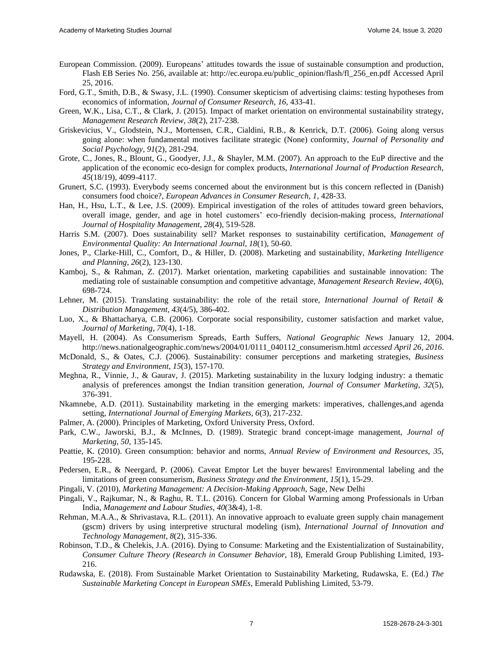- European Commission. (2009). Europeans' attitudes towards the issue of sustainable consumption and production, Flash EB Series No. 256, available at: http://ec.europa.eu/public\_opinion/flash/fl\_256\_en.pdf Accessed April 25, 2016.
- Ford, G.T., Smith, D.B., & Swasy, J.L. (1990). Consumer skepticism of advertising claims: testing hypotheses from economics of information, *Journal of Consumer Research*, *16,* 433-41.
- Green, W.K., Lisa, C.T., & Clark, J. (2015). Impact of market orientation on environmental sustainability strategy, *Management Research Review*, *38*(2), 217-238.
- Griskevicius, V., Glodstein, N.J., Mortensen, C.R., Cialdini, R.B., & Kenrick, D.T. (2006). Going along versus going alone: when fundamental motives facilitate strategic (None) conformity, *Journal of Personality and Social Psychology*, *91*(2), 281-294.
- Grote, C., Jones, R., Blount, G., Goodyer, J.J., & Shayler, M.M. (2007). An approach to the EuP directive and the application of the economic eco-design for complex products, *International Journal of Production Research*, *45*(18/19), 4099-4117.
- Grunert, S.C. (1993). Everybody seems concerned about the environment but is this concern reflected in (Danish) consumers food choice?, *European Advances in Consumer Research*, *1*, 428-33.
- Han, H., Hsu, L.T., & Lee, J.S. (2009). Empirical investigation of the roles of attitudes toward green behaviors, overall image, gender, and age in hotel customers' eco-friendly decision-making process, *International Journal of Hospitality Management*, *28*(4), 519-528.
- Harris S.M. (2007). Does sustainability sell? Market responses to sustainability certification, *Management of Environmental Quality: An International Journal*, *18*(1), 50-60.
- Jones, P., Clarke-Hill, C., Comfort, D., & Hiller, D. (2008). Marketing and sustainability, *Marketing Intelligence and Planning*, *26*(2), 123-130.
- Kamboj, S., & Rahman, Z. (2017). Market orientation, marketing capabilities and sustainable innovation: The mediating role of sustainable consumption and competitive advantage, *Management Research Review*, *40*(6), 698-724.
- Lehner, M. (2015). Translating sustainability: the role of the retail store, *International Journal of Retail & Distribution Management*, *43*(4/5), 386-402.
- Luo, X., & Bhattacharya, C.B. (2006). Corporate social responsibility, customer satisfaction and market value, *Journal of Marketing*, *70*(4), 1-18.
- Mayell, H. (2004). As Consumerism Spreads, Earth Suffers, *National Geographic News* January 12, 2004. http://news.nationalgeographic.com/news/2004/01/0111\_040112\_consumerism.html *accessed April 26, 2016.*
- McDonald, S., & Oates, C.J. (2006). Sustainability: consumer perceptions and marketing strategies, *Business Strategy and Environment*, *15*(3), 157-170.
- Meghna, R., Vinnie, J., & Gaurav, J. (2015). Marketing sustainability in the luxury lodging industry: a thematic analysis of preferences amongst the Indian transition generation, *Journal of Consumer Marketing*, *32*(5), 376-391.
- Nkamnebe, A.D. (2011). Sustainability marketing in the emerging markets: imperatives, challenges,and agenda setting, *International Journal of Emerging Markets*, *6*(3), 217-232.
- Palmer, A. (2000). Principles of Marketing, Oxford University Press, Oxford.
- Park, C.W., Jaworski, B.J., & McInnes, D. (1989). Strategic brand concept-image management*, Journal of Marketing*, *50*, 135-145.
- Peattie, K. (2010). Green consumption: behavior and norms, *Annual Review of Environment and Resources*, *35*, 195-228.
- Pedersen, E.R., & Neergard, P. (2006). Caveat Emptor Let the buyer bewares! Environmental labeling and the limitations of green consumerism, *Business Strategy and the Environment*, *15*(1), 15-29.
- Pingali, V. (2010), *Marketing Management: A Decision-Making Approach*, Sage, New Delhi
- Pingali, V., Rajkumar, N., & Raghu, R. T.L. (2016). Concern for Global Warming among Professionals in Urban India, *Management and Labour Studies, 40*(3&4), 1-8.
- Rehman, M.A.A., & Shrivastava, R.L. (2011). An innovative approach to evaluate green supply chain management (gscm) drivers by using interpretive structural modeling (ism), *International Journal of Innovation and Technology Management*, *8*(2), 315-336.
- Robinson, T.D., & Chelekis, J.A. (2016). Dying to Consume: Marketing and the Existentialization of Sustainability, *Consumer Culture Theory (Research in Consumer Behavior*, 18), Emerald Group Publishing Limited, 193- 216.
- Rudawska, E. (2018). From Sustainable Market Orientation to Sustainability Marketing, Rudawska, E. (Ed.) *The Sustainable Marketing Concept in European SMEs*, Emerald Publishing Limited, 53-79.